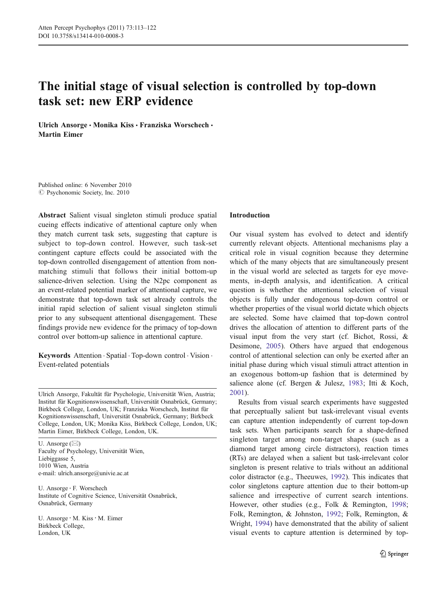# The initial stage of visual selection is controlled by top-down task set: new ERP evidence

Ulrich Ansorge · Monika Kiss · Franziska Worschech · Martin Eimer

Published online: 6 November 2010  $©$  Psychonomic Society, Inc. 2010

Abstract Salient visual singleton stimuli produce spatial cueing effects indicative of attentional capture only when they match current task sets, suggesting that capture is subject to top-down control. However, such task-set contingent capture effects could be associated with the top-down controlled disengagement of attention from nonmatching stimuli that follows their initial bottom-up salience-driven selection. Using the N2pc component as an event-related potential marker of attentional capture, we demonstrate that top-down task set already controls the initial rapid selection of salient visual singleton stimuli prior to any subsequent attentional disengagement. These findings provide new evidence for the primacy of top-down control over bottom-up salience in attentional capture.

Keywords Attention . Spatial . Top-down control . Vision . Event-related potentials

Ulrich Ansorge, Fakultät für Psychologie, Universität Wien, Austria; Institut für Kognitionswissenschaft, Universität Osnabrück, Germany; Birkbeck College, London, UK; Franziska Worschech, Institut für Kognitionswissenschaft, Universität Osnabrück, Germany; Birkbeck College, London, UK; Monika Kiss, Birkbeck College, London, UK; Martin Eimer, Birkbeck College, London, UK.

U. Ansorge  $(\boxtimes)$ Faculty of Psychology, Universität Wien, Liebiggasse 5, 1010 Wien, Austria e-mail: ulrich.ansorge@univie.ac.at

U. Ansorge : F. Worschech Institute of Cognitive Science, Universität Osnabrück, Osnabrück, Germany

U. Ansorge · M. Kiss · M. Eimer Birkbeck College, London, UK

#### Introduction

Our visual system has evolved to detect and identify currently relevant objects. Attentional mechanisms play a critical role in visual cognition because they determine which of the many objects that are simultaneously present in the visual world are selected as targets for eye movements, in-depth analysis, and identification. A critical question is whether the attentional selection of visual objects is fully under endogenous top-down control or whether properties of the visual world dictate which objects are selected. Some have claimed that top-down control drives the allocation of attention to different parts of the visual input from the very start (cf. Bichot, Rossi, & Desimone, [2005\)](#page-9-0). Others have argued that endogenous control of attentional selection can only be exerted after an initial phase during which visual stimuli attract attention in an exogenous bottom-up fashion that is determined by salience alone (cf. Bergen & Julesz, [1983](#page-9-0); Itti & Koch, [2001](#page-9-0)).

Results from visual search experiments have suggested that perceptually salient but task-irrelevant visual events can capture attention independently of current top-down task sets. When participants search for a shape-defined singleton target among non-target shapes (such as a diamond target among circle distractors), reaction times (RTs) are delayed when a salient but task-irrelevant color singleton is present relative to trials without an additional color distractor (e.g., Theeuwes, [1992](#page-9-0)). This indicates that color singletons capture attention due to their bottom-up salience and irrespective of current search intentions. However, other studies (e.g., Folk & Remington, [1998;](#page-9-0) Folk, Remington, & Johnston, [1992;](#page-9-0) Folk, Remington, & Wright, [1994\)](#page-9-0) have demonstrated that the ability of salient visual events to capture attention is determined by top-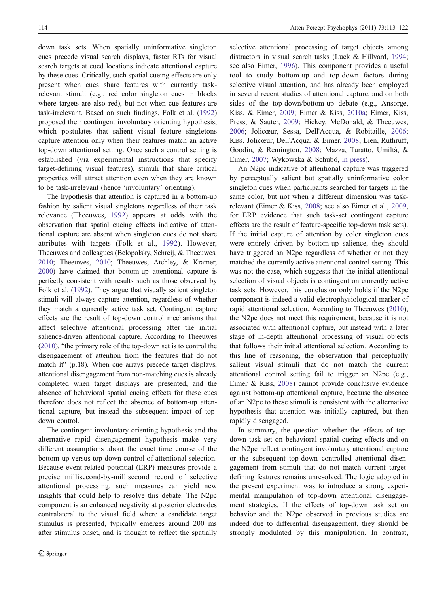down task sets. When spatially uninformative singleton cues precede visual search displays, faster RTs for visual search targets at cued locations indicate attentional capture by these cues. Critically, such spatial cueing effects are only present when cues share features with currently taskrelevant stimuli (e.g., red color singleton cues in blocks where targets are also red), but not when cue features are task-irrelevant. Based on such findings, Folk et al. ([1992\)](#page-9-0) proposed their contingent involuntary orienting hypothesis, which postulates that salient visual feature singletons capture attention only when their features match an active top-down attentional setting. Once such a control setting is established (via experimental instructions that specify target-defining visual features), stimuli that share critical properties will attract attention even when they are known to be task-irrelevant (hence 'involuntary' orienting).

The hypothesis that attention is captured in a bottom-up fashion by salient visual singletons regardless of their task relevance (Theeuwes, [1992](#page-9-0)) appears at odds with the observation that spatial cueing effects indicative of attentional capture are absent when singleton cues do not share attributes with targets (Folk et al., [1992\)](#page-9-0). However, Theeuwes and colleagues (Belopolsky, Schreij, & Theeuwes, [2010;](#page-9-0) Theeuwes, [2010](#page-9-0); Theeuwes, Atchley, & Kramer, [2000\)](#page-9-0) have claimed that bottom-up attentional capture is perfectly consistent with results such as those observed by Folk et al. ([1992](#page-9-0)). They argue that visually salient singleton stimuli will always capture attention, regardless of whether they match a currently active task set. Contingent capture effects are the result of top-down control mechanisms that affect selective attentional processing after the initial salience-driven attentional capture. According to Theeuwes [\(2010\)](#page-9-0), "the primary role of the top-down set is to control the disengagement of attention from the features that do not match it" (p.18). When cue arrays precede target displays, attentional disengagement from non-matching cues is already completed when target displays are presented, and the absence of behavioral spatial cueing effects for these cues therefore does not reflect the absence of bottom-up attentional capture, but instead the subsequent impact of topdown control.

The contingent involuntary orienting hypothesis and the alternative rapid disengagement hypothesis make very different assumptions about the exact time course of the bottom-up versus top-down control of attentional selection. Because event-related potential (ERP) measures provide a precise millisecond-by-millisecond record of selective attentional processing, such measures can yield new insights that could help to resolve this debate. The N2pc component is an enhanced negativity at posterior electrodes contralateral to the visual field where a candidate target stimulus is presented, typically emerges around 200 ms after stimulus onset, and is thought to reflect the spatially selective attentional processing of target objects among distractors in visual search tasks (Luck & Hillyard, [1994;](#page-9-0) see also Eimer, [1996](#page-9-0)). This component provides a useful tool to study bottom-up and top-down factors during selective visual attention, and has already been employed in several recent studies of attentional capture, and on both sides of the top-down/bottom-up debate (e.g., Ansorge, Kiss, & Eimer, [2009](#page-9-0); Eimer & Kiss, [2010a](#page-9-0); Eimer, Kiss, Press, & Sauter, [2009;](#page-9-0) Hickey, McDonald, & Theeuwes, [2006](#page-9-0); Jolicœur, Sessa, Dell'Acqua, & Robitaille, [2006;](#page-9-0) Kiss, Jolicœur, Dell'Acqua, & Eimer, [2008](#page-9-0); Lien, Ruthruff, Goodin, & Remington, [2008](#page-9-0); Mazza, Turatto, Umiltà, & Eimer, [2007;](#page-9-0) Wykowska & Schubö, [in press\)](#page-9-0).

An N2pc indicative of attentional capture was triggered by perceptually salient but spatially uninformative color singleton cues when participants searched for targets in the same color, but not when a different dimension was taskrelevant (Eimer & Kiss, [2008;](#page-9-0) see also Eimer et al., [2009,](#page-9-0) for ERP evidence that such task-set contingent capture effects are the result of feature-specific top-down task sets). If the initial capture of attention by color singleton cues were entirely driven by bottom-up salience, they should have triggered an N2pc regardless of whether or not they matched the currently active attentional control setting. This was not the case, which suggests that the initial attentional selection of visual objects is contingent on currently active task sets. However, this conclusion only holds if the N2pc component is indeed a valid electrophysiological marker of rapid attentional selection. According to Theeuwes ([2010\)](#page-9-0), the N2pc does not meet this requirement, because it is not associated with attentional capture, but instead with a later stage of in-depth attentional processing of visual objects that follows their initial attentional selection. According to this line of reasoning, the observation that perceptually salient visual stimuli that do not match the current attentional control setting fail to trigger an N2pc (e.g., Eimer & Kiss, [2008](#page-9-0)) cannot provide conclusive evidence against bottom-up attentional capture, because the absence of an N2pc to these stimuli is consistent with the alternative hypothesis that attention was initially captured, but then rapidly disengaged.

In summary, the question whether the effects of topdown task set on behavioral spatial cueing effects and on the N2pc reflect contingent involuntary attentional capture or the subsequent top-down controlled attentional disengagement from stimuli that do not match current targetdefining features remains unresolved. The logic adopted in the present experiment was to introduce a strong experimental manipulation of top-down attentional disengagement strategies. If the effects of top-down task set on behavior and the N2pc observed in previous studies are indeed due to differential disengagement, they should be strongly modulated by this manipulation. In contrast,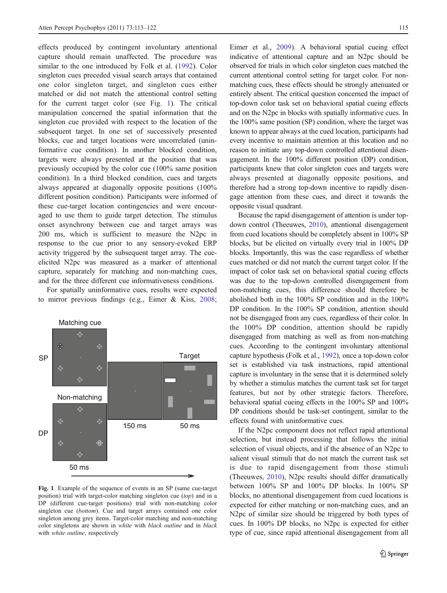<span id="page-2-0"></span>effects produced by contingent involuntary attentional capture should remain unaffected. The procedure was similar to the one introduced by Folk et al. [\(1992](#page-9-0)). Color singleton cues preceded visual search arrays that contained one color singleton target, and singleton cues either matched or did not match the attentional control setting for the current target color (see Fig. 1). The critical manipulation concerned the spatial information that the singleton cue provided with respect to the location of the subsequent target. In one set of successively presented blocks, cue and target locations were uncorrelated (uninformative cue condition). In another blocked condition, targets were always presented at the position that was previously occupied by the color cue (100% same position condition). In a third blocked condition, cues and targets always appeared at diagonally opposite positions (100% different position condition). Participants were informed of these cue-target location contingencies and were encouraged to use them to guide target detection. The stimulus onset asynchrony between cue and target arrays was 200 ms, which is sufficient to measure the N2pc in response to the cue prior to any sensory-evoked ERP activity triggered by the subsequent target array. The cueelicited N2pc was measured as a marker of attentional capture, separately for matching and non-matching cues, and for the three different cue informativeness conditions.

For spatially uninformative cues, results were expected to mirror previous findings (e.g., Eimer & Kiss, [2008](#page-9-0);



Fig. 1 Example of the sequence of events in an SP (same cue-target position) trial with target-color matching singleton cue (top) and in a DP (different cue-target positions) trial with non-matching color singleton cue (bottom). Cue and target arrays contained one color singleton among grey items. Target-color matching and non-matching color singletons are shown in white with black outline and in black with white outline, respectively

Eimer et al., [2009\)](#page-9-0). A behavioral spatial cueing effect indicative of attentional capture and an N2pc should be observed for trials in which color singleton cues matched the current attentional control setting for target color. For nonmatching cues, these effects should be strongly attenuated or entirely absent. The critical question concerned the impact of top-down color task set on behavioral spatial cueing effects and on the N2pc in blocks with spatially informative cues. In the 100% same position (SP) condition, where the target was known to appear always at the cued location, participants had every incentive to maintain attention at this location and no reason to initiate any top-down controlled attentional disengagement. In the 100% different position (DP) condition, participants knew that color singleton cues and targets were always presented at diagonally opposite positions, and therefore had a strong top-down incentive to rapidly disengage attention from these cues, and direct it towards the opposite visual quadrant.

Because the rapid disengagement of attention is under topdown control (Theeuwes, [2010](#page-9-0)), attentional disengagement from cued locations should be completely absent in 100% SP blocks, but be elicited on virtually every trial in 100% DP blocks. Importantly, this was the case regardless of whether cues matched or did not match the current target color. If the impact of color task set on behavioral spatial cueing effects was due to the top-down controlled disengagement from non-matching cues, this difference should therefore be abolished both in the 100% SP condition and in the 100% DP condition. In the 100% SP condition, attention should not be disengaged from any cues, regardless of their color. In the 100% DP condition, attention should be rapidly disengaged from matching as well as from non-matching cues. According to the contingent involuntary attentional capture hypothesis (Folk et al., [1992](#page-9-0)), once a top-down color set is established via task instructions, rapid attentional capture is involuntary in the sense that it is determined solely by whether a stimulus matches the current task set for target features, but not by other strategic factors. Therefore, behavioral spatial cueing effects in the 100% SP and 100% DP conditions should be task-set contingent, similar to the effects found with uninformative cues.

If the N2pc component does not reflect rapid attentional selection, but instead processing that follows the initial selection of visual objects, and if the absence of an N2pc to salient visual stimuli that do not match the current task set is due to rapid disengagement from those stimuli (Theeuwes, [2010\)](#page-9-0), N2pc results should differ dramatically between 100% SP and 100% DP blocks. In 100% SP blocks, no attentional disengagement from cued locations is expected for either matching or non-matching cues, and an N2pc of similar size should be triggered by both types of cues. In 100% DP blocks, no N2pc is expected for either type of cue, since rapid attentional disengagement from all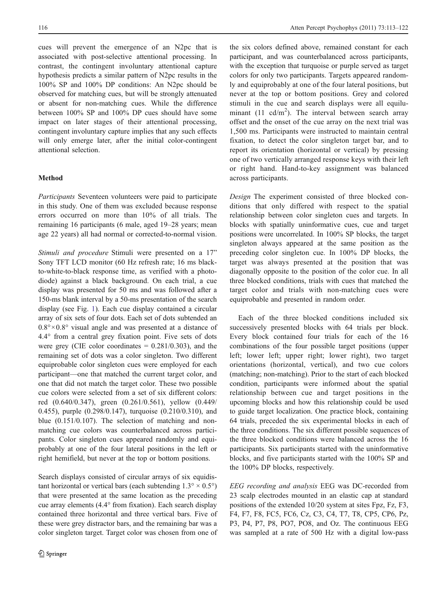cues will prevent the emergence of an N2pc that is associated with post-selective attentional processing. In contrast, the contingent involuntary attentional capture hypothesis predicts a similar pattern of N2pc results in the 100% SP and 100% DP conditions: An N2pc should be observed for matching cues, but will be strongly attenuated or absent for non-matching cues. While the difference between 100% SP and 100% DP cues should have some impact on later stages of their attentional processing, contingent involuntary capture implies that any such effects will only emerge later, after the initial color-contingent attentional selection.

## Method

Participants Seventeen volunteers were paid to participate in this study. One of them was excluded because response errors occurred on more than 10% of all trials. The remaining 16 participants (6 male, aged 19–28 years; mean age 22 years) all had normal or corrected-to-normal vision.

Stimuli and procedure Stimuli were presented on a 17" Sony TFT LCD monitor (60 Hz refresh rate; 16 ms blackto-white-to-black response time, as verified with a photodiode) against a black background. On each trial, a cue display was presented for 50 ms and was followed after a 150-ms blank interval by a 50-ms presentation of the search display (see Fig. [1\)](#page-2-0). Each cue display contained a circular array of six sets of four dots. Each set of dots subtended an  $0.8^\circ \times 0.8^\circ$  visual angle and was presented at a distance of 4.4° from a central grey fixation point. Five sets of dots were grey (CIE color coordinates  $= 0.281/0.303$ ), and the remaining set of dots was a color singleton. Two different equiprobable color singleton cues were employed for each participant—one that matched the current target color, and one that did not match the target color. These two possible cue colors were selected from a set of six different colors: red (0.640/0.347), green (0.261/0.561), yellow (0.449/ 0.455), purple (0.298/0.147), turquoise (0.210/0.310), and blue (0.151/0.107). The selection of matching and nonmatching cue colors was counterbalanced across participants. Color singleton cues appeared randomly and equiprobably at one of the four lateral positions in the left or right hemifield, but never at the top or bottom positions.

Search displays consisted of circular arrays of six equidistant horizontal or vertical bars (each subtending  $1.3^\circ \times 0.5^\circ$ ) that were presented at the same location as the preceding cue array elements (4.4° from fixation). Each search display contained three horizontal and three vertical bars. Five of these were grey distractor bars, and the remaining bar was a color singleton target. Target color was chosen from one of

the six colors defined above, remained constant for each participant, and was counterbalanced across participants, with the exception that turquoise or purple served as target colors for only two participants. Targets appeared randomly and equiprobably at one of the four lateral positions, but never at the top or bottom positions. Grey and colored stimuli in the cue and search displays were all equiluminant (11  $cd/m<sup>2</sup>$ ). The interval between search array offset and the onset of the cue array on the next trial was 1,500 ms. Participants were instructed to maintain central fixation, to detect the color singleton target bar, and to report its orientation (horizontal or vertical) by pressing one of two vertically arranged response keys with their left or right hand. Hand-to-key assignment was balanced across participants.

Design The experiment consisted of three blocked conditions that only differed with respect to the spatial relationship between color singleton cues and targets. In blocks with spatially uninformative cues, cue and target positions were uncorrelated. In 100% SP blocks, the target singleton always appeared at the same position as the preceding color singleton cue. In 100% DP blocks, the target was always presented at the position that was diagonally opposite to the position of the color cue. In all three blocked conditions, trials with cues that matched the target color and trials with non-matching cues were equiprobable and presented in random order.

Each of the three blocked conditions included six successively presented blocks with 64 trials per block. Every block contained four trials for each of the 16 combinations of the four possible target positions (upper left; lower left; upper right; lower right), two target orientations (horizontal, vertical), and two cue colors (matching; non-matching). Prior to the start of each blocked condition, participants were informed about the spatial relationship between cue and target positions in the upcoming blocks and how this relationship could be used to guide target localization. One practice block, containing 64 trials, preceded the six experimental blocks in each of the three conditions. The six different possible sequences of the three blocked conditions were balanced across the 16 participants. Six participants started with the uninformative blocks, and five participants started with the 100% SP and the 100% DP blocks, respectively.

EEG recording and analysis EEG was DC-recorded from 23 scalp electrodes mounted in an elastic cap at standard positions of the extended 10/20 system at sites Fpz, Fz, F3, F4, F7, F8, FC5, FC6, Cz, C3, C4, T7, T8, CP5, CP6, Pz, P3, P4, P7, P8, PO7, PO8, and Oz. The continuous EEG was sampled at a rate of 500 Hz with a digital low-pass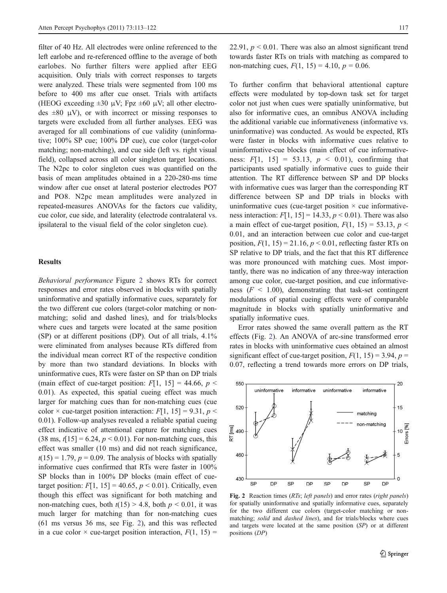<span id="page-4-0"></span>filter of 40 Hz. All electrodes were online referenced to the left earlobe and re-referenced offline to the average of both earlobes. No further filters were applied after EEG acquisition. Only trials with correct responses to targets were analyzed. These trials were segmented from 100 ms before to 400 ms after cue onset. Trials with artifacts (HEOG exceeding  $\pm 30 \mu V$ ; Fpz  $\pm 60 \mu V$ ; all other electrodes  $\pm 80$   $\mu$ V), or with incorrect or missing responses to targets were excluded from all further analyses. EEG was averaged for all combinations of cue validity (uninformative; 100% SP cue; 100% DP cue), cue color (target-color matching; non-matching), and cue side (left vs. right visual field), collapsed across all color singleton target locations. The N2pc to color singleton cues was quantified on the basis of mean amplitudes obtained in a 220-280-ms time window after cue onset at lateral posterior electrodes PO7 and PO8. N2pc mean amplitudes were analyzed in repeated-measures ANOVAs for the factors cue validity, cue color, cue side, and laterality (electrode contralateral vs. ipsilateral to the visual field of the color singleton cue).

## Results

Behavioral performance Figure 2 shows RTs for correct responses and error rates observed in blocks with spatially uninformative and spatially informative cues, separately for the two different cue colors (target-color matching or nonmatching; solid and dashed lines), and for trials/blocks where cues and targets were located at the same position (SP) or at different positions (DP). Out of all trials, 4.1% were eliminated from analyses because RTs differed from the individual mean correct RT of the respective condition by more than two standard deviations. In blocks with uninformative cues, RTs were faster on SP than on DP trials (main effect of cue-target position:  $F[1, 15] = 44.66$ ,  $p <$ 0.01). As expected, this spatial cueing effect was much larger for matching cues than for non-matching cues (cue color  $\times$  cue-target position interaction:  $F[1, 15] = 9.31$ ,  $p \le$ 0.01). Follow-up analyses revealed a reliable spatial cueing effect indicative of attentional capture for matching cues  $(38 \text{ ms}, t[15] = 6.24, p < 0.01)$ . For non-matching cues, this effect was smaller (10 ms) and did not reach significance,  $t(15) = 1.79$ ,  $p = 0.09$ . The analysis of blocks with spatially informative cues confirmed that RTs were faster in 100% SP blocks than in 100% DP blocks (main effect of cuetarget position:  $F[1, 15] = 40.65$ ,  $p < 0.01$ ). Critically, even though this effect was significant for both matching and non-matching cues, both  $t(15) > 4.8$ , both  $p < 0.01$ , it was much larger for matching than for non-matching cues (61 ms versus 36 ms, see Fig. 2), and this was reflected in a cue color  $\times$  cue-target position interaction,  $F(1, 15) =$ 

22.91,  $p \le 0.01$ . There was also an almost significant trend towards faster RTs on trials with matching as compared to non-matching cues,  $F(1, 15) = 4.10$ ,  $p = 0.06$ .

To further confirm that behavioral attentional capture effects were modulated by top-down task set for target color not just when cues were spatially uninformative, but also for informative cues, an omnibus ANOVA including the additional variable cue informativeness (informative vs. uninformative) was conducted. As would be expected, RTs were faster in blocks with informative cues relative to uninformative-cue blocks (main effect of cue informativeness:  $F[1, 15] = 53.13, p < 0.01$ , confirming that participants used spatially informative cues to guide their attention. The RT difference between SP and DP blocks with informative cues was larger than the corresponding RT difference between SP and DP trials in blocks with uninformative cues (cue-target position  $\times$  cue informativeness interaction:  $F[1, 15] = 14.33$ ,  $p < 0.01$ ). There was also a main effect of cue-target position,  $F(1, 15) = 53.13$ ,  $p <$ 0.01, and an interaction between cue color and cue-target position,  $F(1, 15) = 21.16$ ,  $p < 0.01$ , reflecting faster RTs on SP relative to DP trials, and the fact that this RT difference was more pronounced with matching cues. Most importantly, there was no indication of any three-way interaction among cue color, cue-target position, and cue informativeness ( $F < 1.00$ ), demonstrating that task-set contingent modulations of spatial cueing effects were of comparable magnitude in blocks with spatially uninformative and spatially informative cues.

Error rates showed the same overall pattern as the RT effects (Fig. 2). An ANOVA of arc-sine transformed error rates in blocks with uninformative cues obtained an almost significant effect of cue-target position,  $F(1, 15) = 3.94$ ,  $p =$ 0.07, reflecting a trend towards more errors on DP trials,



Fig. 2 Reaction times (RTs; left panels) and error rates (right panels) for spatially uninformative and spatially informative cues, separately for the two different cue colors (target-color matching or nonmatching; solid and dashed lines), and for trials/blocks where cues and targets were located at the same position (SP) or at different positions (DP)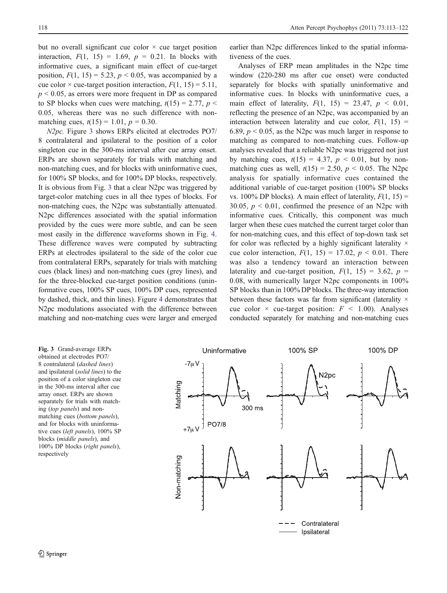but no overall significant cue color  $\times$  cue target position interaction,  $F(1, 15) = 1.69$ ,  $p = 0.21$ . In blocks with informative cues, a significant main effect of cue-target position,  $F(1, 15) = 5.23$ ,  $p < 0.05$ , was accompanied by a cue color  $\times$  cue-target position interaction,  $F(1, 15) = 5.11$ ,  $p < 0.05$ , as errors were more frequent in DP as compared to SP blocks when cues were matching,  $t(15) = 2.77$ ,  $p \le$ 0.05, whereas there was no such difference with nonmatching cues,  $t(15) = 1.01$ ,  $p = 0.30$ .

N2pc. Figure 3 shows ERPs elicited at electrodes PO7/ 8 contralateral and ipsilateral to the position of a color singleton cue in the 300-ms interval after cue array onset. ERPs are shown separately for trials with matching and non-matching cues, and for blocks with uninformative cues, for 100% SP blocks, and for 100% DP blocks, respectively. It is obvious from Fig. 3 that a clear N2pc was triggered by target-color matching cues in all thee types of blocks. For non-matching cues, the N2pc was substantially attenuated. N2pc differences associated with the spatial information provided by the cues were more subtle, and can be seen most easily in the difference waveforms shown in Fig. [4.](#page-6-0) These difference waves were computed by subtracting ERPs at electrodes ipsilateral to the side of the color cue from contralateral ERPs, separately for trials with matching cues (black lines) and non-matching cues (grey lines), and for the three-blocked cue-target position conditions (uninformative cues, 100% SP cues, 100% DP cues, represented by dashed, thick, and thin lines). Figure [4](#page-6-0) demonstrates that N2pc modulations associated with the difference between matching and non-matching cues were larger and emerged

118 **Atten Percept Psychophys (2011) 73:113–122** 

earlier than N2pc differences linked to the spatial informativeness of the cues.

Analyses of ERP mean amplitudes in the N2pc time window (220-280 ms after cue onset) were conducted separately for blocks with spatially uninformative and informative cues. In blocks with uninformative cues, a main effect of laterality,  $F(1, 15) = 23.47$ ,  $p < 0.01$ , reflecting the presence of an N2pc, was accompanied by an interaction between laterality and cue color,  $F(1, 15) =$ 6.89,  $p < 0.05$ , as the N2pc was much larger in response to matching as compared to non-matching cues. Follow-up analyses revealed that a reliable N2pc was triggered not just by matching cues,  $t(15) = 4.37$ ,  $p < 0.01$ , but by nonmatching cues as well,  $t(15) = 2.50$ ,  $p < 0.05$ . The N2pc analysis for spatially informative cues contained the additional variable of cue-target position (100% SP blocks vs. 100% DP blocks). A main effect of laterality,  $F(1, 15)$  = 30.05,  $p < 0.01$ , confirmed the presence of an N2pc with informative cues. Critically, this component was much larger when these cues matched the current target color than for non-matching cues, and this effect of top-down task set for color was reflected by a highly significant laterality  $\times$ cue color interaction,  $F(1, 15) = 17.02$ ,  $p < 0.01$ . There was also a tendency toward an interaction between laterality and cue-target position,  $F(1, 15) = 3.62$ ,  $p =$ 0.08, with numerically larger N2pc components in 100% SP blocks than in 100% DP blocks. The three-way interaction between these factors was far from significant (laterality  $\times$ cue color  $\times$  cue-target position:  $F \leq 1.00$ ). Analyses conducted separately for matching and non-matching cues

Fig. 3 Grand-average ERPs obtained at electrodes PO7/ 8 contralateral (dashed lines) and ipsilateral (solid lines) to the position of a color singleton cue in the 300-ms interval after cue array onset. ERPs are shown separately for trials with matching (top panels) and nonmatching cues (bottom panels), and for blocks with uninformative cues (left panels), 100% SP blocks (middle panels), and 100% DP blocks (right panels), respectively

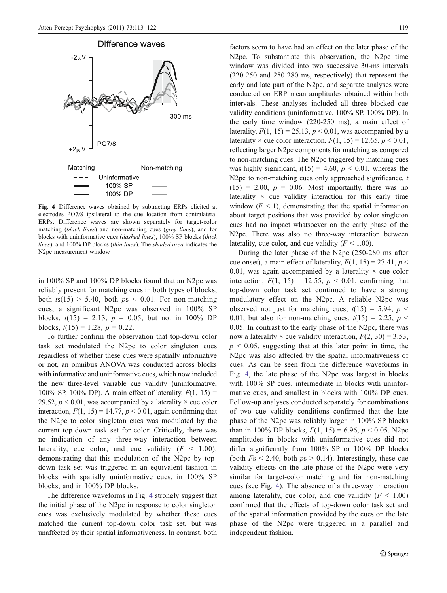<span id="page-6-0"></span>

Fig. 4 Difference waves obtained by subtracting ERPs elicited at electrodes PO7/8 ipsilateral to the cue location from contralateral ERPs. Difference waves are shown separately for target-color matching (black lines) and non-matching cues (grey lines), and for blocks with uninformative cues (dashed lines), 100% SP blocks (thick lines), and 100% DP blocks (thin lines). The shaded area indicates the N2pc measurement window

in 100% SP and 100% DP blocks found that an N2pc was reliably present for matching cues in both types of blocks, both  $ts(15) > 5.40$ , both  $ps < 0.01$ . For non-matching cues, a significant N2pc was observed in 100% SP blocks,  $t(15) = 2.13$ ,  $p = 0.05$ , but not in 100% DP blocks,  $t(15) = 1.28$ ,  $p = 0.22$ .

To further confirm the observation that top-down color task set modulated the N2pc to color singleton cues regardless of whether these cues were spatially informative or not, an omnibus ANOVA was conducted across blocks with informative and uninformative cues, which now included the new three-level variable cue validity (uninformative, 100% SP, 100% DP). A main effect of laterality,  $F(1, 15) =$ 29.52,  $p < 0.01$ , was accompanied by a laterality  $\times$  cue color interaction,  $F(1, 15) = 14.77$ ,  $p < 0.01$ , again confirming that the N2pc to color singleton cues was modulated by the current top-down task set for color. Critically, there was no indication of any three-way interaction between laterality, cue color, and cue validity  $(F < 1.00)$ , demonstrating that this modulation of the N2pc by topdown task set was triggered in an equivalent fashion in blocks with spatially uninformative cues, in 100% SP blocks, and in 100% DP blocks.

The difference waveforms in Fig. 4 strongly suggest that the initial phase of the N2pc in response to color singleton cues was exclusively modulated by whether these cues matched the current top-down color task set, but was unaffected by their spatial informativeness. In contrast, both

factors seem to have had an effect on the later phase of the N2pc. To substantiate this observation, the N2pc time window was divided into two successive 30-ms intervals (220-250 and 250-280 ms, respectively) that represent the early and late part of the N2pc, and separate analyses were conducted on ERP mean amplitudes obtained within both intervals. These analyses included all three blocked cue validity conditions (uninformative, 100% SP, 100% DP). In the early time window (220-250 ms), a main effect of laterality,  $F(1, 15) = 25.13$ ,  $p < 0.01$ , was accompanied by a laterality  $\times$  cue color interaction,  $F(1, 15) = 12.65$ ,  $p < 0.01$ , reflecting larger N2pc components for matching as compared to non-matching cues. The N2pc triggered by matching cues was highly significant,  $t(15) = 4.60$ ,  $p < 0.01$ , whereas the N2pc to non-matching cues only approached significance,  $t$  $(15) = 2.00$ ,  $p = 0.06$ . Most importantly, there was no laterality  $\times$  cue validity interaction for this early time window  $(F < 1)$ , demonstrating that the spatial information about target positions that was provided by color singleton cues had no impact whatsoever on the early phase of the N2pc. There was also no three-way interaction between laterality, cue color, and cue validity ( $F < 1.00$ ).

During the later phase of the N2pc (250-280 ms after cue onset), a main effect of laterality,  $F(1, 15) = 27.41$ ,  $p <$ 0.01, was again accompanied by a laterality  $\times$  cue color interaction,  $F(1, 15) = 12.55$ ,  $p < 0.01$ , confirming that top-down color task set continued to have a strong modulatory effect on the N2pc. A reliable N2pc was observed not just for matching cues,  $t(15) = 5.94$ ,  $p <$ 0.01, but also for non-matching cues,  $t(15) = 2.25$ ,  $p <$ 0.05. In contrast to the early phase of the N2pc, there was now a laterality  $\times$  cue validity interaction,  $F(2, 30) = 3.53$ ,  $p \le 0.05$ , suggesting that at this later point in time, the N2pc was also affected by the spatial informativeness of cues. As can be seen from the difference waveforms in Fig. 4, the late phase of the N2pc was largest in blocks with 100% SP cues, intermediate in blocks with uninformative cues, and smallest in blocks with 100% DP cues. Follow-up analyses conducted separately for combinations of two cue validity conditions confirmed that the late phase of the N2pc was reliably larger in 100% SP blocks than in 100% DP blocks,  $F(1, 15) = 6.96$ ,  $p < 0.05$ . N2pc amplitudes in blocks with uninformative cues did not differ significantly from 100% SP or 100% DP blocks (both  $Fs < 2.40$ , both  $ps > 0.14$ ). Interestingly, these cue validity effects on the late phase of the N2pc were very similar for target-color matching and for non-matching cues (see Fig. 4). The absence of a three-way interaction among laterality, cue color, and cue validity  $(F < 1.00)$ confirmed that the effects of top-down color task set and of the spatial information provided by the cues on the late phase of the N2pc were triggered in a parallel and independent fashion.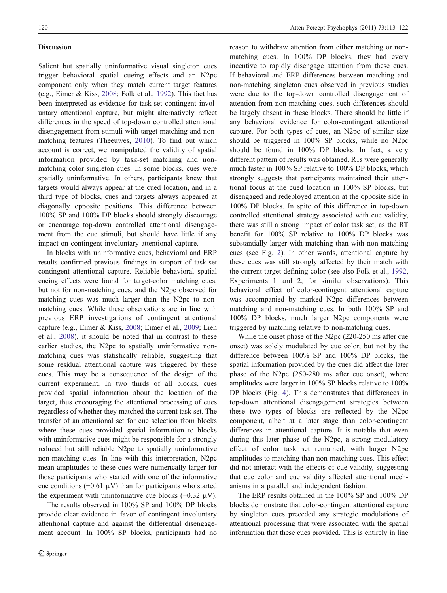### **Discussion**

Salient but spatially uninformative visual singleton cues trigger behavioral spatial cueing effects and an N2pc component only when they match current target features (e.g., Eimer & Kiss, [2008;](#page-9-0) Folk et al., [1992](#page-9-0)). This fact has been interpreted as evidence for task-set contingent involuntary attentional capture, but might alternatively reflect differences in the speed of top-down controlled attentional disengagement from stimuli with target-matching and nonmatching features (Theeuwes, [2010\)](#page-9-0). To find out which account is correct, we manipulated the validity of spatial information provided by task-set matching and nonmatching color singleton cues. In some blocks, cues were spatially uninformative. In others, participants knew that targets would always appear at the cued location, and in a third type of blocks, cues and targets always appeared at diagonally opposite positions. This difference between 100% SP and 100% DP blocks should strongly discourage or encourage top-down controlled attentional disengagement from the cue stimuli, but should have little if any impact on contingent involuntary attentional capture.

In blocks with uninformative cues, behavioral and ERP results confirmed previous findings in support of task-set contingent attentional capture. Reliable behavioral spatial cueing effects were found for target-color matching cues, but not for non-matching cues, and the N2pc observed for matching cues was much larger than the N2pc to nonmatching cues. While these observations are in line with previous ERP investigations of contingent attentional capture (e.g., Eimer & Kiss, [2008](#page-9-0); Eimer et al., [2009](#page-9-0); Lien et al., [2008\)](#page-9-0), it should be noted that in contrast to these earlier studies, the N2pc to spatially uninformative nonmatching cues was statistically reliable, suggesting that some residual attentional capture was triggered by these cues. This may be a consequence of the design of the current experiment. In two thirds of all blocks, cues provided spatial information about the location of the target, thus encouraging the attentional processing of cues regardless of whether they matched the current task set. The transfer of an attentional set for cue selection from blocks where these cues provided spatial information to blocks with uninformative cues might be responsible for a strongly reduced but still reliable N2pc to spatially uninformative non-matching cues. In line with this interpretation, N2pc mean amplitudes to these cues were numerically larger for those participants who started with one of the informative cue conditions ( $-0.61 \mu V$ ) than for participants who started the experiment with uninformative cue blocks  $(-0.32 \mu V)$ .

The results observed in 100% SP and 100% DP blocks provide clear evidence in favor of contingent involuntary attentional capture and against the differential disengagement account. In 100% SP blocks, participants had no

reason to withdraw attention from either matching or nonmatching cues. In 100% DP blocks, they had every incentive to rapidly disengage attention from these cues. If behavioral and ERP differences between matching and non-matching singleton cues observed in previous studies were due to the top-down controlled disengagement of attention from non-matching cues, such differences should be largely absent in these blocks. There should be little if any behavioral evidence for color-contingent attentional capture. For both types of cues, an N2pc of similar size should be triggered in 100% SP blocks, while no N2pc should be found in 100% DP blocks. In fact, a very different pattern of results was obtained. RTs were generally much faster in 100% SP relative to 100% DP blocks, which strongly suggests that participants maintained their attentional focus at the cued location in 100% SP blocks, but disengaged and redeployed attention at the opposite side in 100% DP blocks. In spite of this difference in top-down controlled attentional strategy associated with cue validity, there was still a strong impact of color task set, as the RT benefit for 100% SP relative to 100% DP blocks was substantially larger with matching than with non-matching cues (see Fig. [2](#page-4-0)). In other words, attentional capture by these cues was still strongly affected by their match with the current target-defining color (see also Folk et al., [1992,](#page-9-0) Experiments 1 and 2, for similar observations). This behavioral effect of color-contingent attentional capture was accompanied by marked N2pc differences between matching and non-matching cues. In both 100% SP and 100% DP blocks, much larger N2pc components were triggered by matching relative to non-matching cues.

While the onset phase of the N2pc (220-250 ms after cue onset) was solely modulated by cue color, but not by the difference between 100% SP and 100% DP blocks, the spatial information provided by the cues did affect the later phase of the N2pc (250-280 ms after cue onset), where amplitudes were larger in 100% SP blocks relative to 100% DP blocks (Fig. [4](#page-6-0)). This demonstrates that differences in top-down attentional disengagement strategies between these two types of blocks are reflected by the N2pc component, albeit at a later stage than color-contingent differences in attentional capture. It is notable that even during this later phase of the N2pc, a strong modulatory effect of color task set remained, with larger N2pc amplitudes to matching than non-matching cues. This effect did not interact with the effects of cue validity, suggesting that cue color and cue validity affected attentional mechanisms in a parallel and independent fashion.

The ERP results obtained in the 100% SP and 100% DP blocks demonstrate that color-contingent attentional capture by singleton cues preceded any strategic modulations of attentional processing that were associated with the spatial information that these cues provided. This is entirely in line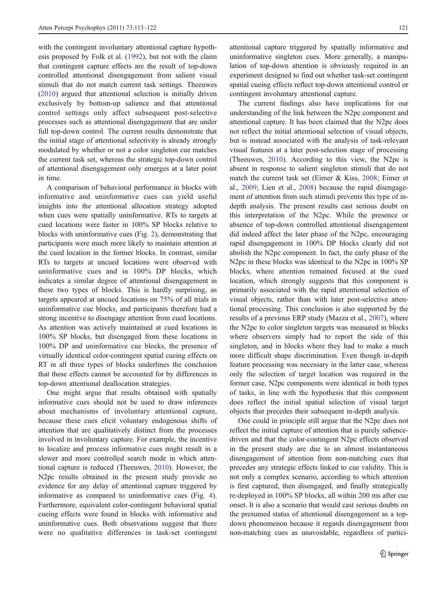with the contingent involuntary attentional capture hypothesis proposed by Folk et al. [\(1992](#page-9-0)), but not with the claim that contingent capture effects are the result of top-down controlled attentional disengagement from salient visual stimuli that do not match current task settings. Theeuwes [\(2010](#page-9-0)) argued that attentional selection is initially driven exclusively by bottom-up salience and that attentional control settings only affect subsequent post-selective processes such as attentional disengagement that are under full top-down control. The current results demonstrate that the initial stage of attentional selectivity is already strongly modulated by whether or not a color singleton cue matches the current task set, whereas the strategic top-down control of attentional disengagement only emerges at a later point in time.

A comparison of behavioral performance in blocks with informative and uninformative cues can yield useful insights into the attentional allocation strategy adopted when cues were spatially uninformative. RTs to targets at cued locations were faster in 100% SP blocks relative to blocks with uninformative cues (Fig. [2](#page-4-0)), demonstrating that participants were much more likely to maintain attention at the cued location in the former blocks. In contrast, similar RTs to targets at uncued locations were observed with uninformative cues and in 100% DP blocks, which indicates a similar degree of attentional disengagement in these two types of blocks. This is hardly surprising, as targets appeared at uncued locations on 75% of all trials in uninformative cue blocks, and participants therefore had a strong incentive to disengage attention from cued locations. As attention was actively maintained at cued locations in 100% SP blocks, but disengaged from these locations in 100% DP and uninformative cue blocks, the presence of virtually identical color-contingent spatial cueing effects on RT in all three types of blocks underlines the conclusion that these effects cannot be accounted for by differences in top-down attentional deallocation strategies.

One might argue that results obtained with spatially informative cues should not be used to draw inferences about mechanisms of involuntary attentional capture, because these cues elicit voluntary endogenous shifts of attention that are qualitatively distinct from the processes involved in involuntary capture. For example, the incentive to localize and process informative cues might result in a slower and more controlled search mode in which attentional capture is reduced (Theeuwes, [2010](#page-9-0)). However, the N2pc results obtained in the present study provide no evidence for any delay of attentional capture triggered by informative as compared to uninformative cues (Fig. [4](#page-6-0)). Furthermore, equivalent color-contingent behavioral spatial cueing effects were found in blocks with informative and uninformative cues. Both observations suggest that there were no qualitative differences in task-set contingent

attentional capture triggered by spatially informative and uninformative singleton cues. More generally, a manipulation of top-down attention is obviously required in an experiment designed to find out whether task-set contingent spatial cueing effects reflect top-down attentional control or contingent involuntary attentional capture.

The current findings also have implications for our understanding of the link between the N2pc component and attentional capture. It has been claimed that the N2pc does not reflect the initial attentional selection of visual objects, but is instead associated with the analysis of task-relevant visual features at a later post-selection stage of processing (Theeuwes, [2010](#page-9-0)). According to this view, the N2pc is absent in response to salient singleton stimuli that do not match the current task set (Eimer & Kiss, [2008;](#page-9-0) Eimer et al., [2009](#page-9-0); Lien et al., [2008](#page-9-0)) because the rapid disengagement of attention from such stimuli prevents this type of indepth analysis. The present results cast serious doubt on this interpretation of the N2pc. While the presence or absence of top-down controlled attentional disengagement did indeed affect the later phase of the N2pc, encouraging rapid disengagement in 100% DP blocks clearly did not abolish the N2pc component. In fact, the early phase of the N2pc in these blocks was identical to the N2pc in 100% SP blocks, where attention remained focused at the cued location, which strongly suggests that this component is primarily associated with the rapid attentional selection of visual objects, rather than with later post-selective attentional processing. This conclusion is also supported by the results of a previous ERP study (Mazza et al., [2007\)](#page-9-0), where the N2pc to color singleton targets was measured in blocks where observers simply had to report the side of this singleton, and in blocks where they had to make a much more difficult shape discrimination. Even though in-depth feature processing was necessary in the latter case, whereas only the selection of target location was required in the former case, N2pc components were identical in both types of tasks, in line with the hypothesis that this component does reflect the initial spatial selection of visual target objects that precedes their subsequent in-depth analysis.

One could in principle still argue that the N2pc does not reflect the initial capture of attention that is purely saliencedriven and that the color-contingent N2pc effects observed in the present study are due to an almost instantaneous disengagement of attention from non-matching cues that precedes any strategic effects linked to cue validity. This is not only a complex scenario, according to which attention is first captured, then disengaged, and finally strategically re-deployed in 100% SP blocks, all within 200 ms after cue onset. It is also a scenario that would cast serious doubts on the presumed status of attentional disengagement as a topdown phenomenon because it regards disengagement from non-matching cues as unavoidable, regardless of partici